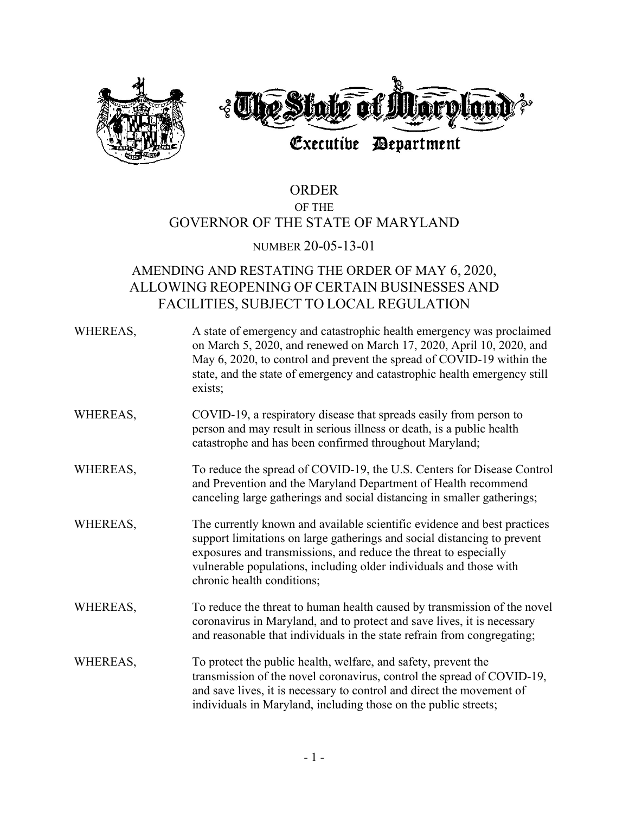

# ORDER OF THE GOVERNOR OF THE STATE OF MARYLAND

## NUMBER 20-05-13-01

# AMENDING AND RESTATING THE ORDER OF MAY 6, 2020, ALLOWING REOPENING OF CERTAIN BUSINESSES AND FACILITIES, SUBJECT TO LOCAL REGULATION

| WHEREAS, | A state of emergency and catastrophic health emergency was proclaimed<br>on March 5, 2020, and renewed on March 17, 2020, April 10, 2020, and<br>May 6, 2020, to control and prevent the spread of COVID-19 within the<br>state, and the state of emergency and catastrophic health emergency still<br>exists;               |
|----------|------------------------------------------------------------------------------------------------------------------------------------------------------------------------------------------------------------------------------------------------------------------------------------------------------------------------------|
| WHEREAS, | COVID-19, a respiratory disease that spreads easily from person to<br>person and may result in serious illness or death, is a public health<br>catastrophe and has been confirmed throughout Maryland;                                                                                                                       |
| WHEREAS, | To reduce the spread of COVID-19, the U.S. Centers for Disease Control<br>and Prevention and the Maryland Department of Health recommend<br>canceling large gatherings and social distancing in smaller gatherings;                                                                                                          |
| WHEREAS, | The currently known and available scientific evidence and best practices<br>support limitations on large gatherings and social distancing to prevent<br>exposures and transmissions, and reduce the threat to especially<br>vulnerable populations, including older individuals and those with<br>chronic health conditions; |
| WHEREAS, | To reduce the threat to human health caused by transmission of the novel<br>coronavirus in Maryland, and to protect and save lives, it is necessary<br>and reasonable that individuals in the state refrain from congregating;                                                                                               |
| WHEREAS, | To protect the public health, welfare, and safety, prevent the<br>transmission of the novel coronavirus, control the spread of COVID-19,<br>and save lives, it is necessary to control and direct the movement of<br>individuals in Maryland, including those on the public streets;                                         |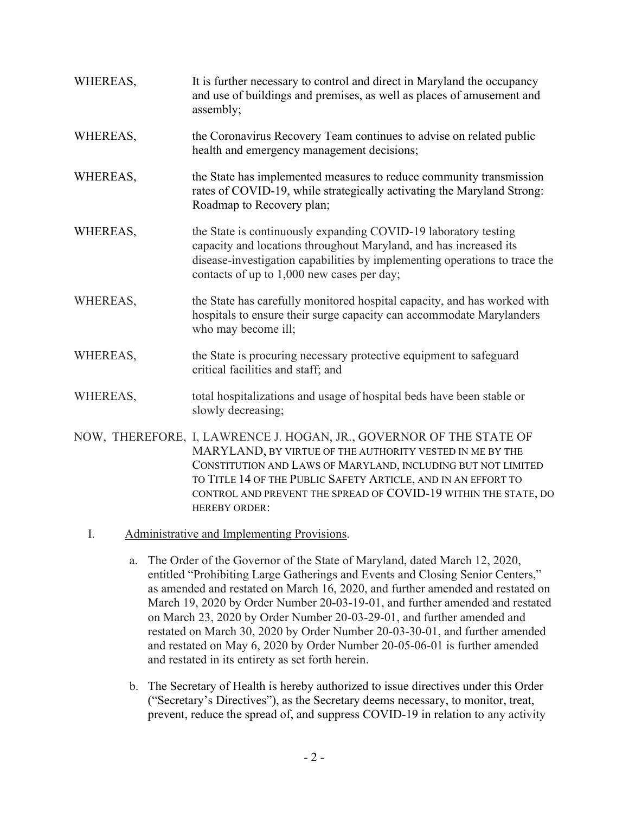| WHEREAS, | It is further necessary to control and direct in Maryland the occupancy<br>and use of buildings and premises, as well as places of amusement and<br>assembly;                                                                                                                                                                                               |
|----------|-------------------------------------------------------------------------------------------------------------------------------------------------------------------------------------------------------------------------------------------------------------------------------------------------------------------------------------------------------------|
| WHEREAS, | the Coronavirus Recovery Team continues to advise on related public<br>health and emergency management decisions;                                                                                                                                                                                                                                           |
| WHEREAS, | the State has implemented measures to reduce community transmission<br>rates of COVID-19, while strategically activating the Maryland Strong:<br>Roadmap to Recovery plan;                                                                                                                                                                                  |
| WHEREAS, | the State is continuously expanding COVID-19 laboratory testing<br>capacity and locations throughout Maryland, and has increased its<br>disease-investigation capabilities by implementing operations to trace the<br>contacts of up to 1,000 new cases per day;                                                                                            |
| WHEREAS, | the State has carefully monitored hospital capacity, and has worked with<br>hospitals to ensure their surge capacity can accommodate Marylanders<br>who may become ill;                                                                                                                                                                                     |
| WHEREAS, | the State is procuring necessary protective equipment to safeguard<br>critical facilities and staff; and                                                                                                                                                                                                                                                    |
| WHEREAS, | total hospitalizations and usage of hospital beds have been stable or<br>slowly decreasing;                                                                                                                                                                                                                                                                 |
|          | NOW, THEREFORE, I, LAWRENCE J. HOGAN, JR., GOVERNOR OF THE STATE OF<br>MARYLAND, BY VIRTUE OF THE AUTHORITY VESTED IN ME BY THE<br>CONSTITUTION AND LAWS OF MARYLAND, INCLUDING BUT NOT LIMITED<br>TO TITLE 14 OF THE PUBLIC SAFETY ARTICLE, AND IN AN EFFORT TO<br>CONTROL AND PREVENT THE SPREAD OF COVID-19 WITHIN THE STATE, DO<br><b>HEREBY ORDER:</b> |

- I. Administrative and Implementing Provisions.
	- a. The Order of the Governor of the State of Maryland, dated March 12, 2020, entitled "Prohibiting Large Gatherings and Events and Closing Senior Centers," as amended and restated on March 16, 2020, and further amended and restated on March 19, 2020 by Order Number 20-03-19-01, and further amended and restated on March 23, 2020 by Order Number 20-03-29-01, and further amended and restated on March 30, 2020 by Order Number 20-03-30-01, and further amended and restated on May 6, 2020 by Order Number 20-05-06-01 is further amended and restated in its entirety as set forth herein.
	- b. The Secretary of Health is hereby authorized to issue directives under this Order ("Secretary's Directives"), as the Secretary deems necessary, to monitor, treat, prevent, reduce the spread of, and suppress COVID-19 in relation to any activity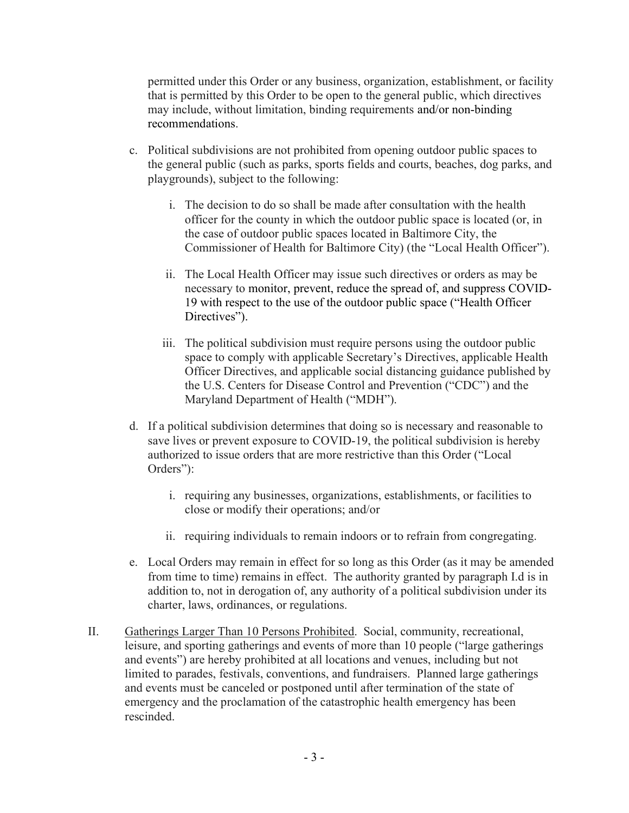permitted under this Order or any business, organization, establishment, or facility that is permitted by this Order to be open to the general public, which directives may include, without limitation, binding requirements and/or non-binding recommendations.

- c. Political subdivisions are not prohibited from opening outdoor public spaces to the general public (such as parks, sports fields and courts, beaches, dog parks, and playgrounds), subject to the following:
	- i. The decision to do so shall be made after consultation with the health officer for the county in which the outdoor public space is located (or, in the case of outdoor public spaces located in Baltimore City, the Commissioner of Health for Baltimore City) (the "Local Health Officer").
	- ii. The Local Health Officer may issue such directives or orders as may be necessary to monitor, prevent, reduce the spread of, and suppress COVID-19 with respect to the use of the outdoor public space ("Health Officer Directives").
	- iii. The political subdivision must require persons using the outdoor public space to comply with applicable Secretary's Directives, applicable Health Officer Directives, and applicable social distancing guidance published by the U.S. Centers for Disease Control and Prevention ("CDC") and the Maryland Department of Health ("MDH").
- d. If a political subdivision determines that doing so is necessary and reasonable to save lives or prevent exposure to COVID-19, the political subdivision is hereby authorized to issue orders that are more restrictive than this Order ("Local Orders"):
	- i. requiring any businesses, organizations, establishments, or facilities to close or modify their operations; and/or
	- ii. requiring individuals to remain indoors or to refrain from congregating.
- e. Local Orders may remain in effect for so long as this Order (as it may be amended from time to time) remains in effect. The authority granted by paragraph I.d is in addition to, not in derogation of, any authority of a political subdivision under its charter, laws, ordinances, or regulations.
- II. Gatherings Larger Than 10 Persons Prohibited. Social, community, recreational, leisure, and sporting gatherings and events of more than 10 people ("large gatherings and events") are hereby prohibited at all locations and venues, including but not limited to parades, festivals, conventions, and fundraisers. Planned large gatherings and events must be canceled or postponed until after termination of the state of emergency and the proclamation of the catastrophic health emergency has been rescinded.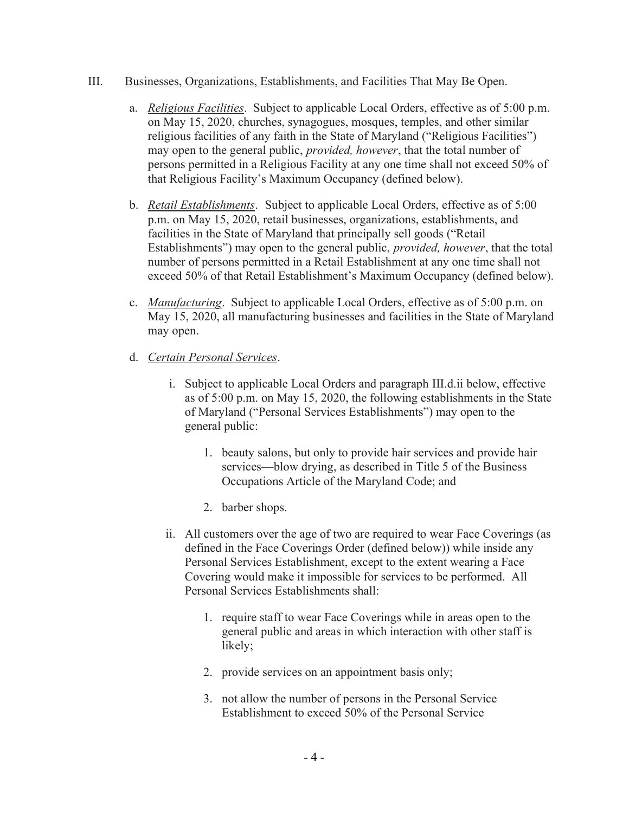#### III. Businesses, Organizations, Establishments, and Facilities That May Be Open.

- a. Religious Facilities. Subject to applicable Local Orders, effective as of 5:00 p.m. on May 15, 2020, churches, synagogues, mosques, temples, and other similar religious facilities of any faith in the State of Maryland ("Religious Facilities") may open to the general public, *provided, however*, that the total number of persons permitted in a Religious Facility at any one time shall not exceed 50% of that Religious Facility's Maximum Occupancy (defined below).
- b. *Retail Establishments*. Subject to applicable Local Orders, effective as of 5:00 p.m. on May 15, 2020, retail businesses, organizations, establishments, and facilities in the State of Maryland that principally sell goods ("Retail Establishments") may open to the general public, provided, however, that the total number of persons permitted in a Retail Establishment at any one time shall not exceed 50% of that Retail Establishment's Maximum Occupancy (defined below).
- c. Manufacturing. Subject to applicable Local Orders, effective as of 5:00 p.m. on May 15, 2020, all manufacturing businesses and facilities in the State of Maryland may open.
- d. Certain Personal Services.
	- i. Subject to applicable Local Orders and paragraph III.d.ii below, effective as of 5:00 p.m. on May 15, 2020, the following establishments in the State of Maryland ("Personal Services Establishments") may open to the general public:
		- 1. beauty salons, but only to provide hair services and provide hair services—blow drying, as described in Title 5 of the Business Occupations Article of the Maryland Code; and
		- 2. barber shops.
	- ii. All customers over the age of two are required to wear Face Coverings (as defined in the Face Coverings Order (defined below)) while inside any Personal Services Establishment, except to the extent wearing a Face Covering would make it impossible for services to be performed. All Personal Services Establishments shall:
		- 1. require staff to wear Face Coverings while in areas open to the general public and areas in which interaction with other staff is likely;
		- 2. provide services on an appointment basis only;
		- 3. not allow the number of persons in the Personal Service Establishment to exceed 50% of the Personal Service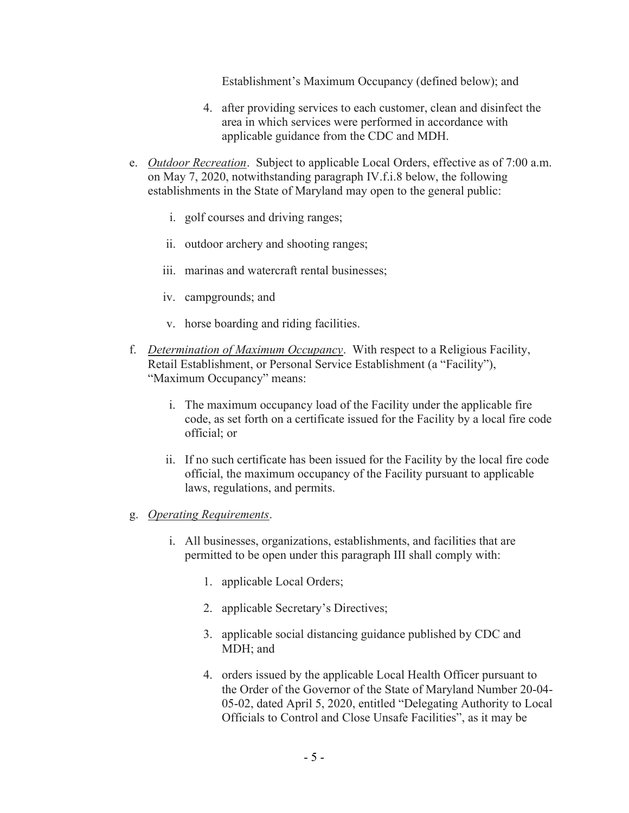Establishment's Maximum Occupancy (defined below); and

- 4. after providing services to each customer, clean and disinfect the area in which services were performed in accordance with applicable guidance from the CDC and MDH.
- e. Outdoor Recreation. Subject to applicable Local Orders, effective as of 7:00 a.m. on May 7, 2020, notwithstanding paragraph IV.f.i.8 below, the following establishments in the State of Maryland may open to the general public:
	- i. golf courses and driving ranges;
	- ii. outdoor archery and shooting ranges;
	- iii. marinas and watercraft rental businesses;
	- iv. campgrounds; and
	- v. horse boarding and riding facilities.
- f. Determination of Maximum Occupancy. With respect to a Religious Facility, Retail Establishment, or Personal Service Establishment (a "Facility"), "Maximum Occupancy" means:
	- i. The maximum occupancy load of the Facility under the applicable fire code, as set forth on a certificate issued for the Facility by a local fire code official; or
	- ii. If no such certificate has been issued for the Facility by the local fire code official, the maximum occupancy of the Facility pursuant to applicable laws, regulations, and permits.
- g. Operating Requirements.
	- i. All businesses, organizations, establishments, and facilities that are permitted to be open under this paragraph III shall comply with:
		- 1. applicable Local Orders;
		- 2. applicable Secretary's Directives;
		- 3. applicable social distancing guidance published by CDC and MDH; and
		- 4. orders issued by the applicable Local Health Officer pursuant to the Order of the Governor of the State of Maryland Number 20-04- 05-02, dated April 5, 2020, entitled "Delegating Authority to Local Officials to Control and Close Unsafe Facilities", as it may be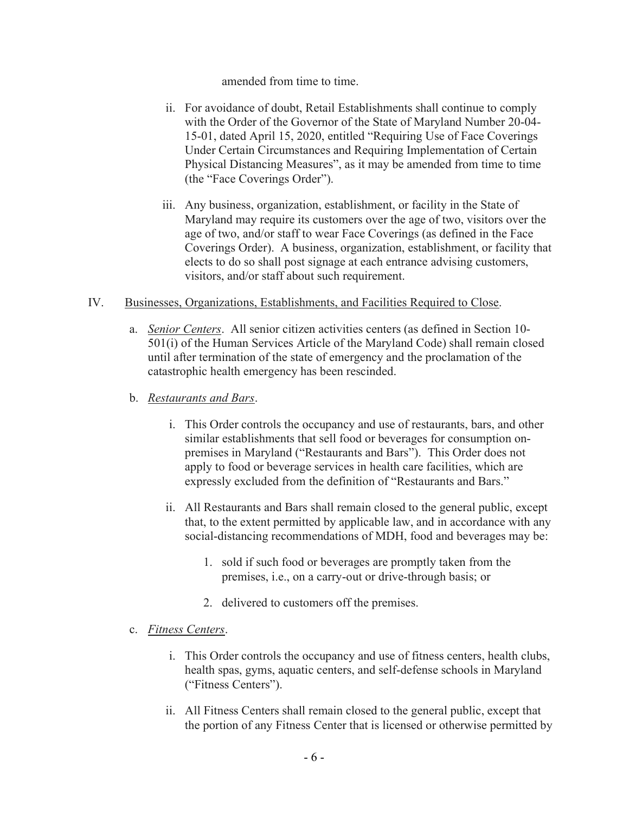amended from time to time.

- ii. For avoidance of doubt, Retail Establishments shall continue to comply with the Order of the Governor of the State of Maryland Number 20-04- 15-01, dated April 15, 2020, entitled "Requiring Use of Face Coverings Under Certain Circumstances and Requiring Implementation of Certain Physical Distancing Measures", as it may be amended from time to time (the "Face Coverings Order").
- iii. Any business, organization, establishment, or facility in the State of Maryland may require its customers over the age of two, visitors over the age of two, and/or staff to wear Face Coverings (as defined in the Face Coverings Order). A business, organization, establishment, or facility that elects to do so shall post signage at each entrance advising customers, visitors, and/or staff about such requirement.
- IV. Businesses, Organizations, Establishments, and Facilities Required to Close.
	- a. Senior Centers. All senior citizen activities centers (as defined in Section 10- 501(i) of the Human Services Article of the Maryland Code) shall remain closed until after termination of the state of emergency and the proclamation of the catastrophic health emergency has been rescinded.
	- b. Restaurants and Bars.
		- i. This Order controls the occupancy and use of restaurants, bars, and other similar establishments that sell food or beverages for consumption onpremises in Maryland ("Restaurants and Bars"). This Order does not apply to food or beverage services in health care facilities, which are expressly excluded from the definition of "Restaurants and Bars."
		- ii. All Restaurants and Bars shall remain closed to the general public, except that, to the extent permitted by applicable law, and in accordance with any social-distancing recommendations of MDH, food and beverages may be:
			- 1. sold if such food or beverages are promptly taken from the premises, i.e., on a carry-out or drive-through basis; or
			- 2. delivered to customers off the premises.

#### c. Fitness Centers.

- i. This Order controls the occupancy and use of fitness centers, health clubs, health spas, gyms, aquatic centers, and self-defense schools in Maryland ("Fitness Centers").
- ii. All Fitness Centers shall remain closed to the general public, except that the portion of any Fitness Center that is licensed or otherwise permitted by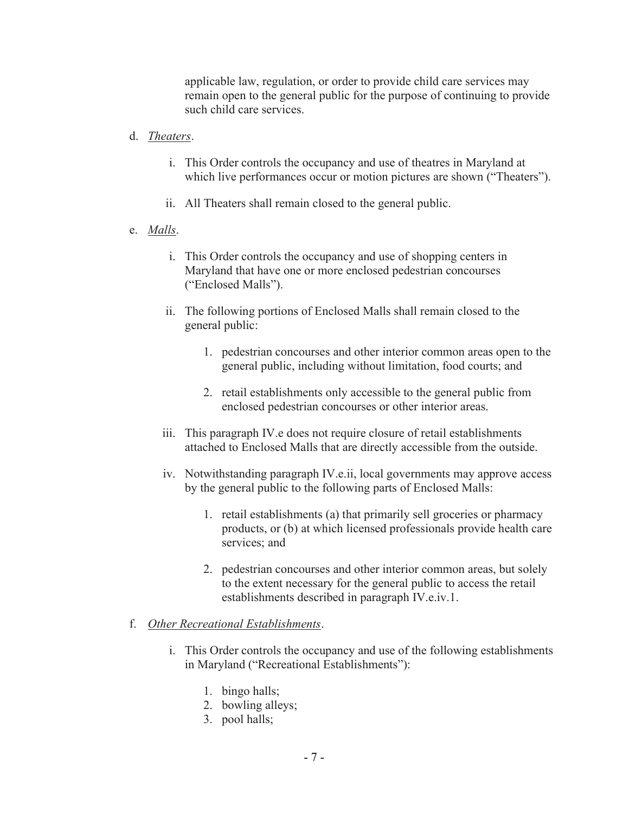applicable law, regulation, or order to provide child care services may remain open to the general public for the purpose of continuing to provide such child care services.

- d. Theaters.
	- i. This Order controls the occupancy and use of theatres in Maryland at which live performances occur or motion pictures are shown ("Theaters").
	- ii. All Theaters shall remain closed to the general public.
- e. Malls.
	- i. This Order controls the occupancy and use of shopping centers in Maryland that have one or more enclosed pedestrian concourses ("Enclosed Malls").
	- ii. The following portions of Enclosed Malls shall remain closed to the general public:
		- 1. pedestrian concourses and other interior common areas open to the general public, including without limitation, food courts; and
		- 2. retail establishments only accessible to the general public from enclosed pedestrian concourses or other interior areas.
	- iii. This paragraph IV.e does not require closure of retail establishments attached to Enclosed Malls that are directly accessible from the outside.
	- iv. Notwithstanding paragraph IV.e.ii, local governments may approve access by the general public to the following parts of Enclosed Malls:
		- 1. retail establishments (a) that primarily sell groceries or pharmacy products, or (b) at which licensed professionals provide health care services; and
		- 2. pedestrian concourses and other interior common areas, but solely to the extent necessary for the general public to access the retail establishments described in paragraph IV.e.iv.1.

### f. Other Recreational Establishments.

- i. This Order controls the occupancy and use of the following establishments in Maryland ("Recreational Establishments"):
	- 1. bingo halls;
	- 2. bowling alleys;
	- 3. pool halls;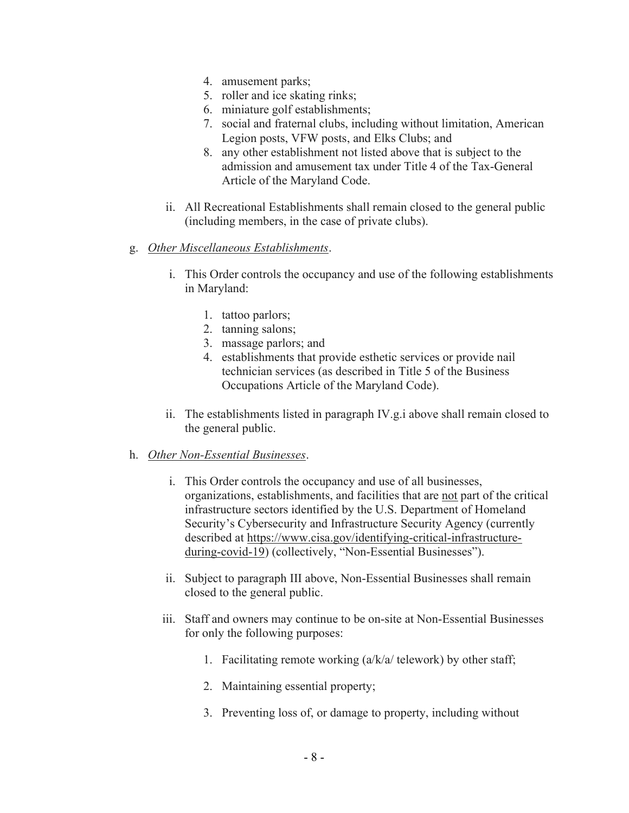- 4. amusement parks;
- 5. roller and ice skating rinks;
- 6. miniature golf establishments;
- 7. social and fraternal clubs, including without limitation, American Legion posts, VFW posts, and Elks Clubs; and
- 8. any other establishment not listed above that is subject to the admission and amusement tax under Title 4 of the Tax-General Article of the Maryland Code.
- ii. All Recreational Establishments shall remain closed to the general public (including members, in the case of private clubs).

### g. Other Miscellaneous Establishments.

- i. This Order controls the occupancy and use of the following establishments in Maryland:
	- 1. tattoo parlors;
	- 2. tanning salons;
	- 3. massage parlors; and
	- 4. establishments that provide esthetic services or provide nail technician services (as described in Title 5 of the Business Occupations Article of the Maryland Code).
- ii. The establishments listed in paragraph IV.g.i above shall remain closed to the general public.

#### h. Other Non-Essential Businesses.

- i. This Order controls the occupancy and use of all businesses, organizations, establishments, and facilities that are not part of the critical infrastructure sectors identified by the U.S. Department of Homeland Security's Cybersecurity and Infrastructure Security Agency (currently described at https://www.cisa.gov/identifying-critical-infrastructureduring-covid-19) (collectively, "Non-Essential Businesses").
- ii. Subject to paragraph III above, Non-Essential Businesses shall remain closed to the general public.
- iii. Staff and owners may continue to be on-site at Non-Essential Businesses for only the following purposes:
	- 1. Facilitating remote working (a/k/a/ telework) by other staff;
	- 2. Maintaining essential property;
	- 3. Preventing loss of, or damage to property, including without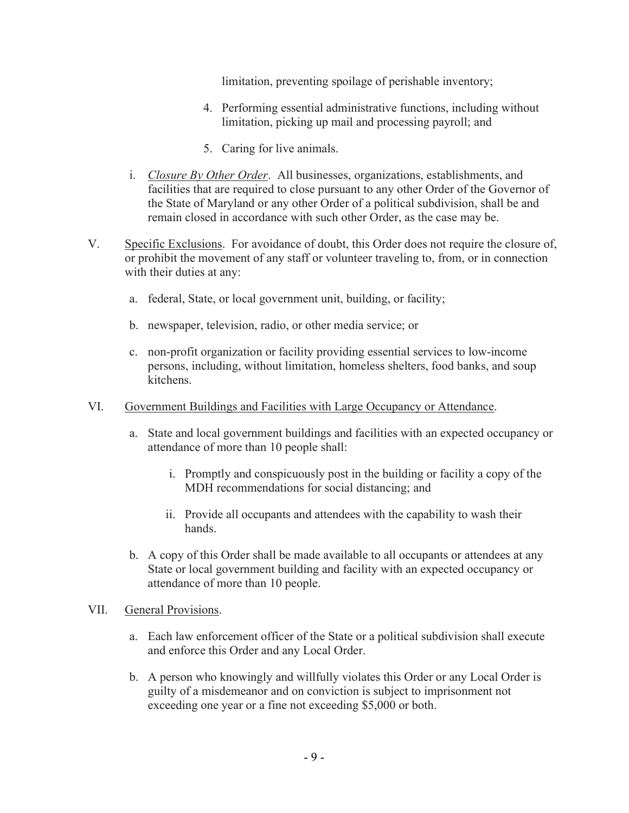limitation, preventing spoilage of perishable inventory;

- 4. Performing essential administrative functions, including without limitation, picking up mail and processing payroll; and
- 5. Caring for live animals.
- i. Closure By Other Order. All businesses, organizations, establishments, and facilities that are required to close pursuant to any other Order of the Governor of the State of Maryland or any other Order of a political subdivision, shall be and remain closed in accordance with such other Order, as the case may be.
- V. Specific Exclusions. For avoidance of doubt, this Order does not require the closure of, or prohibit the movement of any staff or volunteer traveling to, from, or in connection with their duties at any:
	- a. federal, State, or local government unit, building, or facility;
	- b. newspaper, television, radio, or other media service; or
	- c. non-profit organization or facility providing essential services to low-income persons, including, without limitation, homeless shelters, food banks, and soup kitchens.
- VI. Government Buildings and Facilities with Large Occupancy or Attendance.
	- a. State and local government buildings and facilities with an expected occupancy or attendance of more than 10 people shall:
		- i. Promptly and conspicuously post in the building or facility a copy of the MDH recommendations for social distancing; and
		- ii. Provide all occupants and attendees with the capability to wash their hands.
	- b. A copy of this Order shall be made available to all occupants or attendees at any State or local government building and facility with an expected occupancy or attendance of more than 10 people.
- VII. General Provisions.
	- a. Each law enforcement officer of the State or a political subdivision shall execute and enforce this Order and any Local Order.
	- b. A person who knowingly and willfully violates this Order or any Local Order is guilty of a misdemeanor and on conviction is subject to imprisonment not exceeding one year or a fine not exceeding \$5,000 or both.